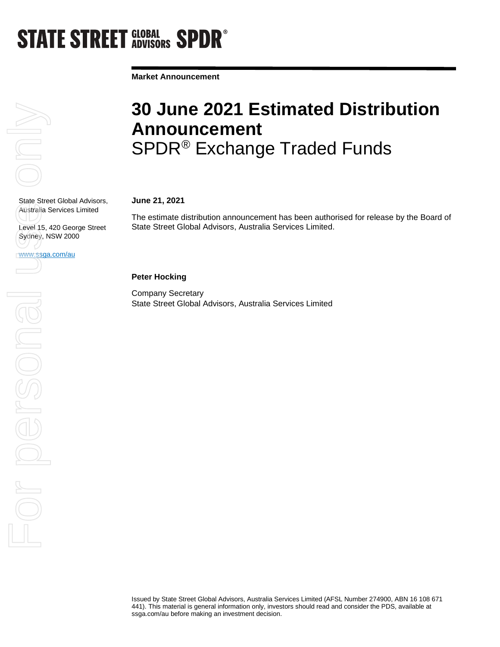# **STATE STREET GLOBAL SPDR<sup>®</sup>**

**Market Announcement**



State Street Global Advisors, Australia Services Limited

Level 15, 420 George Street Sydney, NSW 2000

www.ssga.com/au

### **30 June 2021 Estimated Distribution Announcement**  SPDR® Exchange Traded Funds

#### **June 21, 2021**

The estimate distribution announcement has been authorised for release by the Board of State Street Global Advisors, Australia Services Limited.

#### **Peter Hocking**

Company Secretary State Street Global Advisors, Australia Services Limited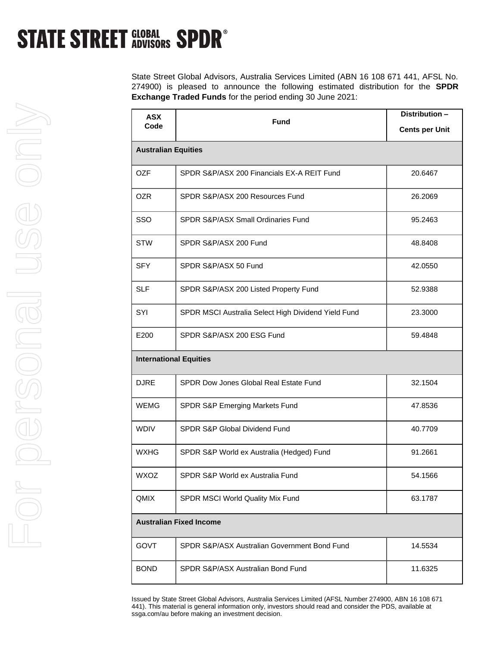## **STATE STREET GLOBAL SPDR®**

State Street Global Advisors, Australia Services Limited (ABN 16 108 671 441, AFSL No. 274900) is pleased to announce the following estimated distribution for the **SPDR Exchange Traded Funds** for the period ending 30 June 2021:

| <b>ASX</b><br>Code             | Fund                                                | Distribution -        |
|--------------------------------|-----------------------------------------------------|-----------------------|
|                                |                                                     | <b>Cents per Unit</b> |
| <b>Australian Equities</b>     |                                                     |                       |
| <b>OZF</b>                     | SPDR S&P/ASX 200 Financials EX-A REIT Fund          | 20.6467               |
| <b>OZR</b>                     | SPDR S&P/ASX 200 Resources Fund                     | 26.2069               |
| SSO                            | SPDR S&P/ASX Small Ordinaries Fund                  | 95.2463               |
| <b>STW</b>                     | SPDR S&P/ASX 200 Fund                               | 48.8408               |
| <b>SFY</b>                     | SPDR S&P/ASX 50 Fund                                | 42.0550               |
| <b>SLF</b>                     | SPDR S&P/ASX 200 Listed Property Fund               | 52.9388               |
| SYI                            | SPDR MSCI Australia Select High Dividend Yield Fund | 23.3000               |
| E200                           | SPDR S&P/ASX 200 ESG Fund                           | 59.4848               |
| <b>International Equities</b>  |                                                     |                       |
| <b>DJRE</b>                    | SPDR Dow Jones Global Real Estate Fund              | 32.1504               |
| WEMG                           | SPDR S&P Emerging Markets Fund                      | 47.8536               |
| <b>WDIV</b>                    | SPDR S&P Global Dividend Fund                       | 40.7709               |
| <b>WXHG</b>                    | SPDR S&P World ex Australia (Hedged) Fund           | 91.2661               |
| WXOZ                           | SPDR S&P World ex Australia Fund                    | 54.1566               |
| QMIX                           | SPDR MSCI World Quality Mix Fund                    | 63.1787               |
| <b>Australian Fixed Income</b> |                                                     |                       |
| GOVT                           | SPDR S&P/ASX Australian Government Bond Fund        | 14.5534               |
| <b>BOND</b>                    | SPDR S&P/ASX Australian Bond Fund                   | 11.6325               |

Issued by State Street Global Advisors, Australia Services Limited (AFSL Number 274900, ABN 16 108 671 441). This material is general information only, investors should read and consider the PDS, available at ssga.com/au before making an investment decision.